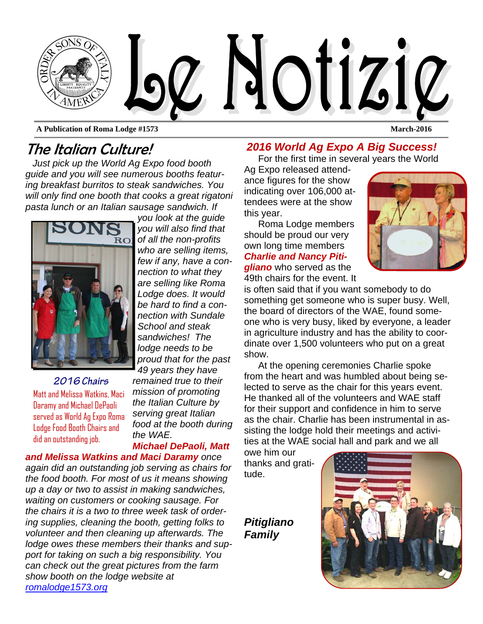

**A Publication of Roma Lodge #1573 March-2016** 

# The Italian Culture!

*Just pick up the World Ag Expo food booth guide and you will see numerous booths featuring breakfast burritos to steak sandwiches. You will only find one booth that cooks a great rigatoni pasta lunch or an Italian sausage sandwich. If* 



*2016 Chairs*  Matt and Melissa Watkins, Maci Daramy and Michael DePaoli served as World Ag Expo Roma Lodge Food Booth Chairs and did an outstanding job.

*you look at the guide you will also find that of all the non-profits who are selling items, few if any, have a connection to what they are selling like Roma Lodge does. It would be hard to find a connection with Sundale School and steak sandwiches! The lodge needs to be proud that for the past 49 years they have remained true to their mission of promoting the Italian Culture by serving great Italian food at the booth during* 

*the WAE. Michael DePaoli, Matt* 

*and Melissa Watkins and Maci Daramy once again did an outstanding job serving as chairs for the food booth. For most of us it means showing up a day or two to assist in making sandwiches, waiting on customers or cooking sausage. For the chairs it is a two to three week task of ordering supplies, cleaning the booth, getting folks to volunteer and then cleaning up afterwards. The lodge owes these members their thanks and support for taking on such a big responsibility. You can check out the great pictures from the farm show booth on the lodge website at romalodge1573.org* 

#### *2016 World Ag Expo A Big Success!*

For the first time in several years the World

Ag Expo released attendance figures for the show indicating over 106,000 attendees were at the show this year.

Roma Lodge members should be proud our very own long time members *Charlie and Nancy Pitigliano* who served as the 49th chairs for the event. It



is often said that if you want somebody to do something get someone who is super busy. Well, the board of directors of the WAE, found someone who is very busy, liked by everyone, a leader in agriculture industry and has the ability to coordinate over 1,500 volunteers who put on a great show.

At the opening ceremonies Charlie spoke from the heart and was humbled about being selected to serve as the chair for this years event. He thanked all of the volunteers and WAE staff for their support and confidence in him to serve as the chair. Charlie has been instrumental in assisting the lodge hold their meetings and activities at the WAE social hall and park and we all

owe him our thanks and gratitude.

*Pitigliano Family* 

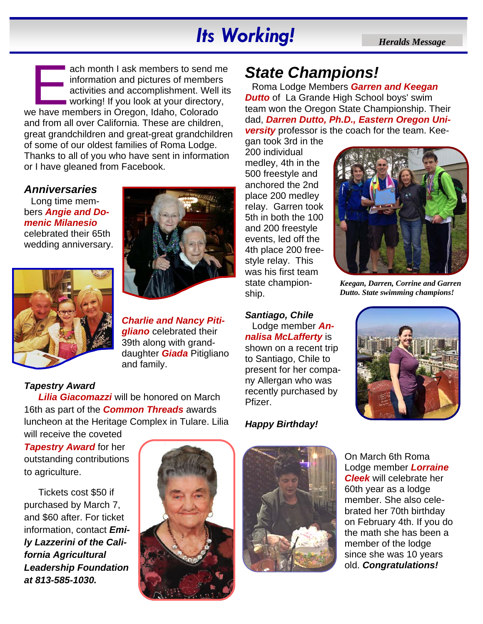# *Its Working! <i>Heralds Message*

ach month I ask members to send me<br>
information and pictures of members<br>
activities and accomplishment. Well its<br>
working! If you look at your directory,<br>
we have members in Oregon, Idaho, Colorado information and pictures of members activities and accomplishment. Well its **working!** If you look at your directory, and from all over California. These are children, great grandchildren and great-great grandchildren of some of our oldest families of Roma Lodge. Thanks to all of you who have sent in information or I have gleaned from Facebook.

#### *Anniversaries*

Long time members *Angie and Domenic Milanesio*  celebrated their 65th wedding anniversary.



#### *Charlie and Nancy Pitigliano* celebrated their 39th along with granddaughter *Giada* Pitigliano and family.

#### *Tapestry Award*

*Lilia Giacomazzi* will be honored on March 16th as part of the *Common Threads* awards luncheon at the Heritage Complex in Tulare. Lilia will receive the coveted

*Tapestry Award for her* outstanding contributions to agriculture.

Tickets cost \$50 if purchased by March 7, and \$60 after. For ticket information, contact *Emily Lazzerini of the California Agricultural Leadership Foundation at 813-585-1030.* 



# *State Champions!*

Roma Lodge Members *Garren and Keegan*  **Dutto** of La Grande High School boys' swim team won the Oregon State Championship. Their dad, *Darren Dutto, Ph.D., Eastern Oregon University* professor is the coach for the team. Kee-

gan took 3rd in the 200 individual medley, 4th in the 500 freestyle and anchored the 2nd place 200 medley relay. Garren took 5th in both the 100 and 200 freestyle events, led off the 4th place 200 freestyle relay. This was his first team state championship.



*Keegan, Darren, Corrine and Garren Dutto. State swimming champions!* 

*Santiago, Chile*  Lodge member *Annalisa McLafferty* is shown on a recent trip to Santiago, Chile to present for her company Allergan who was recently purchased by Pfizer.



#### *Happy Birthday!*



On March 6th Roma Lodge member *Lorraine Cleek* will celebrate her 60th year as a lodge member. She also celebrated her 70th birthday on February 4th. If you do the math she has been a member of the lodge since she was 10 years old. *Congratulations!*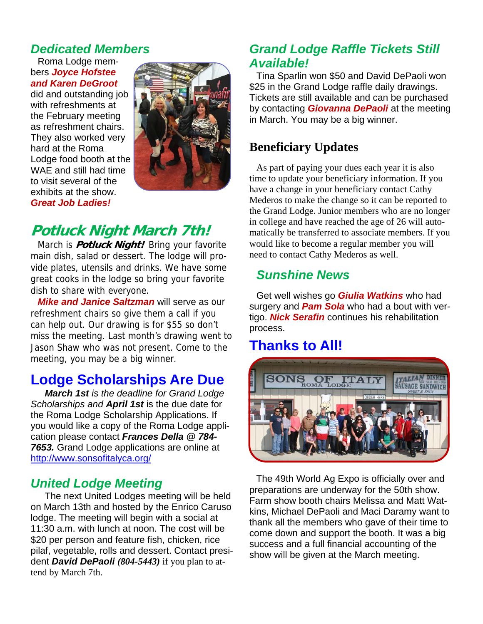## *Dedicated Members*

Roma Lodge members *Joyce Hofstee and Karen DeGroot* 

did and outstanding job with refreshments at the February meeting as refreshment chairs. They also worked very hard at the Roma Lodge food booth at the WAE and still had time to visit several of the exhibits at the show. *Great Job Ladies!* 



# **Potluck Night March 7th!**

March is **Potluck Night!** Bring your favorite main dish, salad or dessert. The lodge will provide plates, utensils and drinks. We have some great cooks in the lodge so bring your favorite dish to share with everyone.

*Mike and Janice Saltzman* will serve as our refreshment chairs so give them a call if you can help out. Our drawing is for \$55 so don't miss the meeting. Last month's drawing went to Jason Shaw who was not present. Come to the meeting, you may be a big winner.

# **Lodge Scholarships Are Due**

*March 1st is the deadline for Grand Lodge Scholarships and April 1st* is the due date for the Roma Lodge Scholarship Applications. If you would like a copy of the Roma Lodge application please contact *Frances Della @ 784- 7653.* Grand Lodge applications are online at http://www.sonsofitalyca.org/

#### *United Lodge Meeting*

The next United Lodges meeting will be held on March 13th and hosted by the Enrico Caruso lodge. The meeting will begin with a social at 11:30 a.m. with lunch at noon. The cost will be \$20 per person and feature fish, chicken, rice pilaf, vegetable, rolls and dessert. Contact president *David DePaoli (804-5443)* if you plan to attend by March 7th.

#### *Grand Lodge Raffle Tickets Still Available!*

Tina Sparlin won \$50 and David DePaoli won \$25 in the Grand Lodge raffle daily drawings. Tickets are still available and can be purchased by contacting *Giovanna DePaoli* at the meeting in March. You may be a big winner.

#### **Beneficiary Updates**

As part of paying your dues each year it is also time to update your beneficiary information. If you have a change in your beneficiary contact Cathy Mederos to make the change so it can be reported to the Grand Lodge. Junior members who are no longer in college and have reached the age of 26 will automatically be transferred to associate members. If you would like to become a regular member you will need to contact Cathy Mederos as well.

### *Sunshine News*

Get well wishes go *Giulia Watkins* who had surgery and *Pam Sola* who had a bout with vertigo. *Nick Serafin* continues his rehabilitation process.

## **Thanks to All!**



The 49th World Ag Expo is officially over and preparations are underway for the 50th show. Farm show booth chairs Melissa and Matt Watkins, Michael DePaoli and Maci Daramy want to thank all the members who gave of their time to come down and support the booth. It was a big success and a full financial accounting of the show will be given at the March meeting.